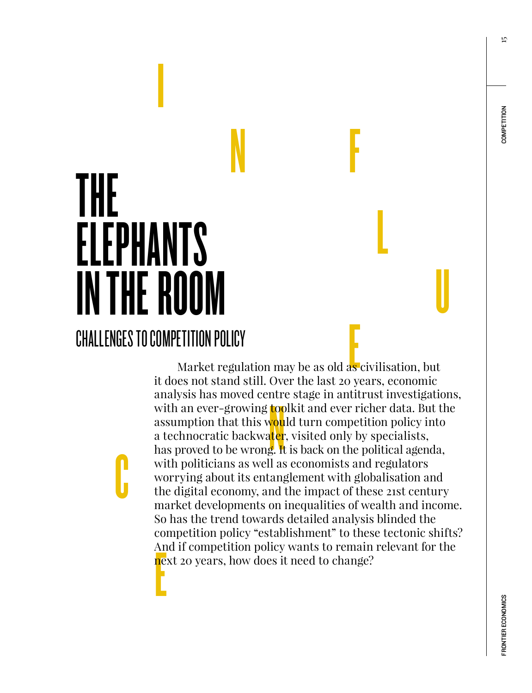15

# N F THE ELEPHANTS IN THE ROOM CHALLENGES TO COMPETITION POLICY

C

**International Contract** 

External of the set of the set of the set of the set of the set of the set of the set of the set of the set of the set of the set of the set of the set of the set of the set of the set of the set of the set of the set of t nd<br>toc<br>vou<br>uter<br>g. It An<br><mark>ne</mark> Market regulation may be as old as civilisation, but it does not stand still. Over the last 20 years, economic analysis has moved centre stage in antitrust investigations, with an ever-growing **toolkit** and ever richer data. But the assumption that this w<mark>ou</mark>ld turn competition policy into a technocratic backwater, visited only by specialists, has proved to be wrong. It is back on the political agenda, with politicians as well as economists and regulators worrying about its entanglement with globalisation and the digital economy, and the impact of these 21st century market developments on inequalities of wealth and income. So has the trend towards detailed analysis blinded the competition policy "establishment" to these tectonic shifts? And if competition policy wants to remain relevant for the next 20 years, how does it need to change?

L

U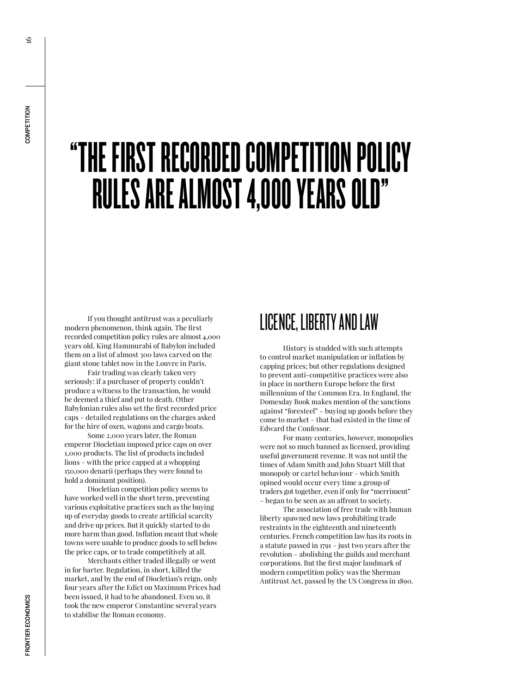# "THE FIRST RECORDED COMPETITION POLICY RULES ARE ALMOST 4,000 YEARS OLD"

If you thought antitrust was a peculiarly modern phenomenon, think again. The first recorded competition policy rules are almost 4,000 years old. King Hammurabi of Babylon included them on a list of almost 300 laws carved on the giant stone tablet now in the Louvre in Paris. Fair trading was clearly taken very

seriously: if a purchaser of property couldn't produce a witness to the transaction, he would be deemed a thief and put to death. Other Babylonian rules also set the first recorded price caps – detailed regulations on the charges asked for the hire of oxen, wagons and cargo boats.

Some 2,000 years later, the Roman emperor Diocletian imposed price caps on over 1,000 products. The list of products included lions – with the price capped at a whopping 150,000 denarii (perhaps they were found to hold a dominant position).

Diocletian competition policy seems to have worked well in the short term, preventing various exploitative practices such as the buying up of everyday goods to create artificial scarcity and drive up prices. But it quickly started to do more harm than good. Inflation meant that whole towns were unable to produce goods to sell below the price caps, or to trade competitively at all.

Merchants either traded illegally or went in for barter. Regulation, in short, killed the market, and by the end of Diocletian's reign, only four years after the Edict on Maximum Prices had been issued, it had to be abandoned. Even so, it took the new emperor Constantine several years to stabilise the Roman economy.

#### LICENCE, LIBERTY AND LAW

History is studded with such attempts to control market manipulation or inflation by capping prices; but other regulations designed to prevent anti-competitive practices were also in place in northern Europe before the first millennium of the Common Era. In England, the Domesday Book makes mention of the sanctions against "foresteel" – buying up goods before they come to market – that had existed in the time of Edward the Confessor.

For many centuries, however, monopolies were not so much banned as licensed, providing useful government revenue. It was not until the times of Adam Smith and John Stuart Mill that monopoly or cartel behaviour – which Smith opined would occur every time a group of traders got together, even if only for "merriment" – began to be seen as an affront to society.

The association of free trade with human liberty spawned new laws prohibiting trade restraints in the eighteenth and nineteenth centuries. French competition law has its roots in a statute passed in 1791 – just two years after the revolution – abolishing the guilds and merchant corporations. But the first major landmark of modern competition policy was the Sherman Antitrust Act, passed by the US Congress in 1890.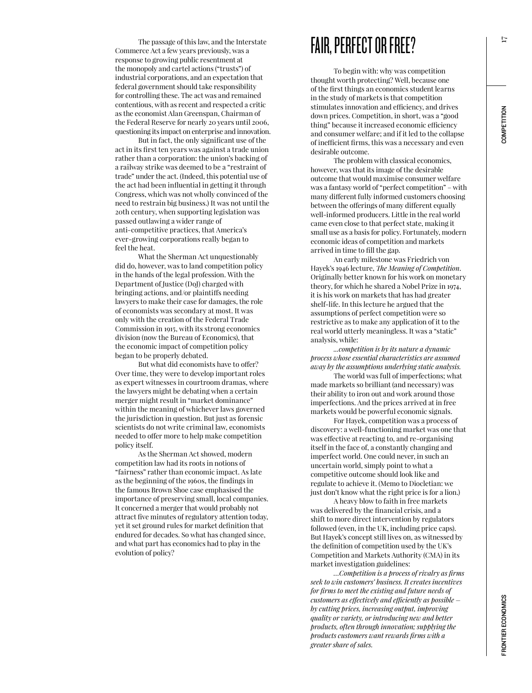The passage of this law, and the Interstate Commerce Act a few years previously, was a response to growing public resentment at the monopoly and cartel actions ("trusts") of industrial corporations, and an expectation that federal government should take responsibility for controlling these. The act was and remained contentious, with as recent and respected a critic as the economist Alan Greenspan, Chairman of the Federal Reserve for nearly 20 years until 2006, questioning its impact on enterprise and innovation.

But in fact, the only significant use of the act in its first ten years was against a trade union rather than a corporation: the union's backing of a railway strike was deemed to be a "restraint of trade" under the act. (Indeed, this potential use of the act had been influential in getting it through Congress, which was not wholly convinced of the need to restrain big business.) It was not until the 20th century, when supporting legislation was passed outlawing a wider range of anti-competitive practices, that America's ever-growing corporations really began to feel the heat.

What the Sherman Act unquestionably did do, however, was to land competition policy in the hands of the legal profession. With the Department of Justice (DoJ) charged with bringing actions, and/or plaintiffs needing lawyers to make their case for damages, the role of economists was secondary at most. It was only with the creation of the Federal Trade Commission in 1915, with its strong economics division (now the Bureau of Economics), that the economic impact of competition policy began to be properly debated.

But what did economists have to offer? Over time, they were to develop important roles as expert witnesses in courtroom dramas, where the lawyers might be debating when a certain merger might result in "market dominance" within the meaning of whichever laws governed the jurisdiction in question. But just as forensic scientists do not write criminal law, economists needed to offer more to help make competition policy itself.

As the Sherman Act showed, modern competition law had its roots in notions of "fairness" rather than economic impact. As late as the beginning of the 1960s, the findings in the famous Brown Shoe case emphasised the importance of preserving small, local companies. It concerned a merger that would probably not attract five minutes of regulatory attention today, yet it set ground rules for market definition that endured for decades. So what has changed since, and what part has economics had to play in the evolution of policy?

#### FAIR, PERFECT OR FREE?

To begin with: why was competition thought worth protecting? Well, because one of the first things an economics student learns in the study of markets is that competition stimulates innovation and efficiency, and drives down prices. Competition, in short, was a "good thing" because it increased economic efficiency and consumer welfare; and if it led to the collapse of inefficient firms, this was a necessary and even desirable outcome.

The problem with classical economics, however, was that its image of the desirable outcome that would maximise consumer welfare was a fantasy world of "perfect competition" – with many different fully informed customers choosing between the offerings of many different equally well-informed producers. Little in the real world came even close to that perfect state, making it small use as a basis for policy. Fortunately, modern economic ideas of competition and markets arrived in time to fill the gap.

An early milestone was Friedrich von Hayek's 1946 lecture, *The Meaning of Competition*. Originally better known for his work on monetary theory, for which he shared a Nobel Prize in 1974, it is his work on markets that has had greater shelf-life. In this lecture he argued that the assumptions of perfect competition were so restrictive as to make any application of it to the real world utterly meaningless. It was a "static" analysis, while:

*...competition is by its nature a dynamic process whose essential characteristics are assumed away by the assumptions underlying static analysis.*

The world was full of imperfections; what made markets so brilliant (and necessary) was their ability to iron out and work around those imperfections. And the prices arrived at in free markets would be powerful economic signals.

For Hayek, competition was a process of discovery: a well-functioning market was one that was effective at reacting to, and re-organising itself in the face of, a constantly changing and imperfect world. One could never, in such an uncertain world, simply point to what a competitive outcome should look like and regulate to achieve it. (Memo to Diocletian: we just don't know what the right price is for a lion.)

A heavy blow to faith in free markets was delivered by the financial crisis, and a shift to more direct intervention by regulators followed (even, in the UK, including price caps). But Hayek's concept still lives on, as witnessed by the definition of competition used by the UK's Competition and Markets Authority (CMA) in its market investigation guidelines:

*…Competition is a process of rivalry as firms seek to win customers' business. It creates incentives for firms to meet the existing and future needs of customers as effectively and efficiently as possible – by cutting prices, increasing output, improving quality or variety, or introducing new and better products, often through innovation; supplying the products customers want rewards firms with a greater share of sales.*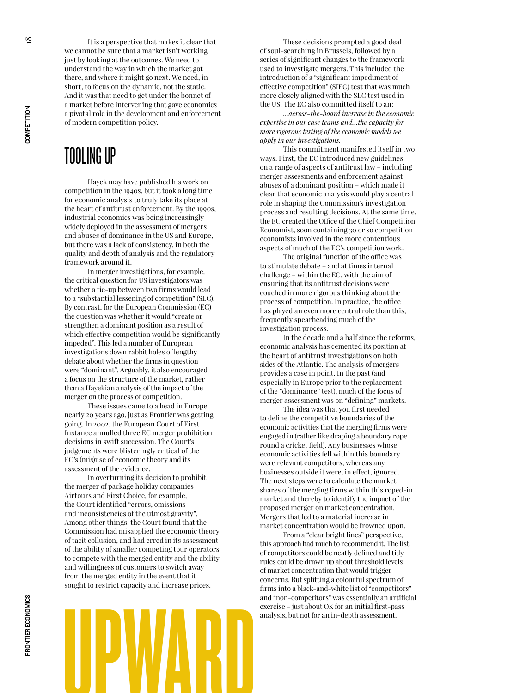COMPETITION

It is a perspective that makes it clear that we cannot be sure that a market isn't working just by looking at the outcomes. We need to understand the way in which the market got there, and where it might go next. We need, in short, to focus on the dynamic, not the static. And it was that need to get under the bonnet of a market before intervening that gave economics a pivotal role in the development and enforcement of modern competition policy.

## TOOLING UP

Hayek may have published his work on competition in the 1940s, but it took a long time for economic analysis to truly take its place at the heart of antitrust enforcement. By the 1990s, industrial economics was being increasingly widely deployed in the assessment of mergers and abuses of dominance in the US and Europe, but there was a lack of consistency, in both the quality and depth of analysis and the regulatory framework around it.

In merger investigations, for example, the critical question for US investigators was whether a tie-up between two firms would lead to a "substantial lessening of competition" (SLC). By contrast, for the European Commission (EC) the question was whether it would "create or strengthen a dominant position as a result of which effective competition would be significantly impeded". This led a number of European investigations down rabbit holes of lengthy debate about whether the firms in question were "dominant". Arguably, it also encouraged a focus on the structure of the market, rather than a Hayekian analysis of the impact of the merger on the process of competition.

These issues came to a head in Europe nearly 20 years ago, just as Frontier was getting going. In 2002, the European Court of First Instance annulled three EC merger prohibition decisions in swift succession. The Court's judgements were blisteringly critical of the EC's (mis)use of economic theory and its assessment of the evidence.

UPWARD In overturning its decision to prohibit the merger of package holiday companies Airtours and First Choice, for example, the Court identified "errors, omissions and inconsistencies of the utmost gravity". Among other things, the Court found that the Commission had misapplied the economic theory of tacit collusion, and had erred in its assessment of the ability of smaller competing tour operators to compete with the merged entity and the ability and willingness of customers to switch away from the merged entity in the event that it sought to restrict capacity and increase prices.

These decisions prompted a good deal of soul-searching in Brussels, followed by a series of significant changes to the framework used to investigate mergers. This included the introduction of a "significant impediment of effective competition" (SIEC) test that was much more closely aligned with the SLC test used in the US. The EC also committed itself to an:

*…across-the-board increase in the economic expertise in our case teams and…the capacity for more rigorous testing of the economic models we apply in our investigations.*

This commitment manifested itself in two ways. First, the EC introduced new guidelines on a range of aspects of antitrust law – including merger assessments and enforcement against abuses of a dominant position – which made it clear that economic analysis would play a central role in shaping the Commission's investigation process and resulting decisions. At the same time, the EC created the Office of the Chief Competition Economist, soon containing 30 or so competition economists involved in the more contentious aspects of much of the EC's competition work.

The original function of the office was to stimulate debate – and at times internal challenge – within the EC, with the aim of ensuring that its antitrust decisions were couched in more rigorous thinking about the process of competition. In practice, the office has played an even more central role than this, frequently spearheading much of the investigation process.

In the decade and a half since the reforms, economic analysis has cemented its position at the heart of antitrust investigations on both sides of the Atlantic. The analysis of mergers provides a case in point. In the past (and especially in Europe prior to the replacement of the "dominance" test), much of the focus of merger assessment was on "defining" markets.

The idea was that you first needed to define the competitive boundaries of the economic activities that the merging firms were engaged in (rather like draping a boundary rope round a cricket field). Any businesses whose economic activities fell within this boundary were relevant competitors, whereas any businesses outside it were, in effect, ignored. The next steps were to calculate the market shares of the merging firms within this roped-in market and thereby to identify the impact of the proposed merger on market concentration. Mergers that led to a material increase in market concentration would be frowned upon.

From a "clear bright lines" perspective, this approach had much to recommend it. The list of competitors could be neatly defined and tidy rules could be drawn up about threshold levels of market concentration that would trigger concerns. But splitting a colourful spectrum of firms into a black-and-white list of "competitors" and "non-competitors" was essentially an artificial exercise – just about OK for an initial first-pass analysis, but not for an in-depth assessment.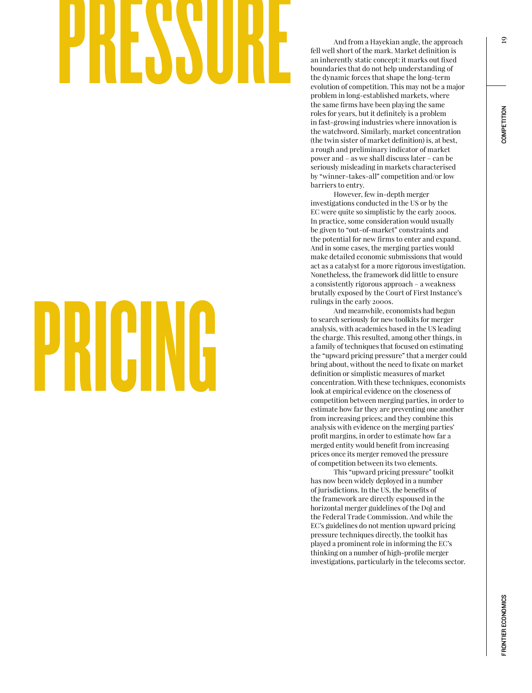# and from a Hayekian angle, the approach<br>fell well short of the mark. Market definition is<br>an inherently static concept: it marks out fixed<br>boundaries that do not help understanding of<br>the dynamic forces that shape the long

# PRICING

fell well short of the mark. Market definition is an inherently static concept: it marks out fixed boundaries that do not help understanding of the dynamic forces that shape the long-term evolution of competition. This may not be a major problem in long-established markets, where the same firms have been playing the same roles for years, but it definitely is a problem in fast-growing industries where innovation is the watchword. Similarly, market concentration (the twin sister of market definition) is, at best, a rough and preliminary indicator of market power and – as we shall discuss later – can be seriously misleading in markets characterised by "winner-takes-all" competition and/or low barriers to entry.

However, few in-depth merger investigations conducted in the US or by the EC were quite so simplistic by the early 2000s. In practice, some consideration would usually be given to "out-of-market" constraints and the potential for new firms to enter and expand. And in some cases, the merging parties would make detailed economic submissions that would act as a catalyst for a more rigorous investigation. Nonetheless, the framework did little to ensure a consistently rigorous approach – a weakness brutally exposed by the Court of First Instance's rulings in the early 2000s.

And meanwhile, economists had begun to search seriously for new toolkits for merger analysis, with academics based in the US leading the charge. This resulted, among other things, in a family of techniques that focused on estimating the "upward pricing pressure" that a merger could bring about, without the need to fixate on market definition or simplistic measures of market concentration. With these techniques, economists look at empirical evidence on the closeness of competition between merging parties, in order to estimate how far they are preventing one another from increasing prices; and they combine this analysis with evidence on the merging parties' profit margins, in order to estimate how far a merged entity would benefit from increasing prices once its merger removed the pressure of competition between its two elements.

This "upward pricing pressure" toolkit has now been widely deployed in a number of jurisdictions. In the US, the benefits of the framework are directly espoused in the horizontal merger guidelines of the DoJ and the Federal Trade Commission. And while the EC's guidelines do not mention upward pricing pressure techniques directly, the toolkit has played a prominent role in informing the EC's thinking on a number of high-profile merger investigations, particularly in the telecoms sector.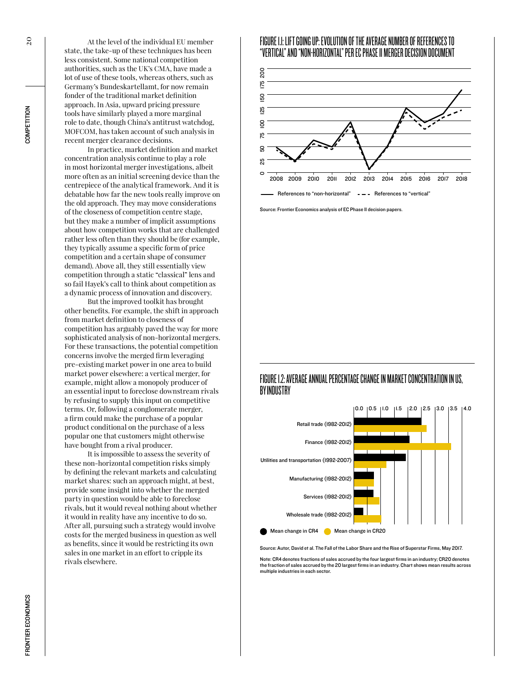At the level of the individual EU member state, the take-up of these techniques has been less consistent. Some national competition authorities, such as the UK's CMA, have made a lot of use of these tools, whereas others, such as Germany's Bundeskartellamt, for now remain fonder of the traditional market definition approach. In Asia, upward pricing pressure tools have similarly played a more marginal role to date, though China's antitrust watchdog, MOFCOM, has taken account of such analysis in recent merger clearance decisions.

In practice, market definition and market concentration analysis continue to play a role in most horizontal merger investigations, albeit more often as an initial screening device than the centrepiece of the analytical framework. And it is debatable how far the new tools really improve on the old approach. They may move considerations of the closeness of competition centre stage, but they make a number of implicit assumptions about how competition works that are challenged rather less often than they should be (for example, they typically assume a specific form of price competition and a certain shape of consumer demand). Above all, they still essentially view competition through a static "classical" lens and so fail Hayek's call to think about competition as a dynamic process of innovation and discovery.

But the improved toolkit has brought other benefits. For example, the shift in approach from market definition to closeness of competition has arguably paved the way for more sophisticated analysis of non-horizontal mergers. For these transactions, the potential competition concerns involve the merged firm leveraging pre-existing market power in one area to build market power elsewhere: a vertical merger, for example, might allow a monopoly producer of an essential input to foreclose downstream rivals by refusing to supply this input on competitive terms. Or, following a conglomerate merger, a firm could make the purchase of a popular product conditional on the purchase of a less popular one that customers might otherwise have bought from a rival producer.

It is impossible to assess the severity of these non-horizontal competition risks simply by defining the relevant markets and calculating market shares: such an approach might, at best, provide some insight into whether the merged party in question would be able to foreclose rivals, but it would reveal nothing about whether it would in reality have any incentive to do so. After all, pursuing such a strategy would involve costs for the merged business in question as well as benefits, since it would be restricting its own sales in one market in an effort to cripple its rivals elsewhere.

#### FIGURE 1.1: LIFT GOING UP: EVOLUTION OF THE AVERAGE NUMBER OF REFERENCES TO "VERTICAL" AND "NON-HORIZONTAL" PER EC PHASE II MERGER DECISION DOCUMENT



Source: Frontier Economics analysis of EC Phase II decision papers.

#### FIGURE 1.2: AVERAGE ANNUAL PERCENTAGE CHANGE IN MARKET CONCENTRATION IN US, BY INDUSTRY



Source: Autor, David et al. The Fall of the Labor Share and the Rise of Superstar Firms, May 2017.

Note: CR4 denotes fractions of sales accrued by the four largest firms in an industry; CR20 denotes the fraction of sales accrued by the 20 largest firms in an industry. Chart shows mean results across multiple industries in each sector.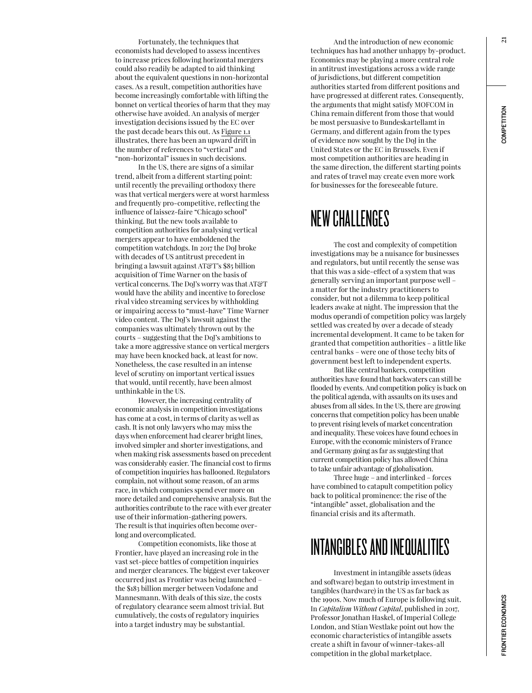Fortunately, the techniques that economists had developed to assess incentives to increase prices following horizontal mergers could also readily be adapted to aid thinking about the equivalent questions in non-horizontal cases. As a result, competition authorities have become increasingly comfortable with lifting the bonnet on vertical theories of harm that they may otherwise have avoided. An analysis of merger investigation decisions issued by the EC over the past decade bears this out. As Figure 1.1 illustrates, there has been an upward drift in the number of references to "vertical" and "non-horizontal" issues in such decisions.

In the US, there are signs of a similar trend, albeit from a different starting point: until recently the prevailing orthodoxy there was that vertical mergers were at worst harmless and frequently pro-competitive, reflecting the influence of laissez-faire "Chicago school" thinking. But the new tools available to competition authorities for analysing vertical mergers appear to have emboldened the competition watchdogs. In 2017 the DoJ broke with decades of US antitrust precedent in bringing a lawsuit against AT&T's \$85 billion acquisition of Time Warner on the basis of vertical concerns. The DoJ's worry was that AT&T would have the ability and incentive to foreclose rival video streaming services by withholding or impairing access to "must-have" Time Warner video content. The DoJ's lawsuit against the companies was ultimately thrown out by the courts – suggesting that the DoJ's ambitions to take a more aggressive stance on vertical mergers may have been knocked back, at least for now. Nonetheless, the case resulted in an intense level of scrutiny on important vertical issues that would, until recently, have been almost unthinkable in the US.

However, the increasing centrality of economic analysis in competition investigations has come at a cost, in terms of clarity as well as cash. It is not only lawyers who may miss the days when enforcement had clearer bright lines, involved simpler and shorter investigations, and when making risk assessments based on precedent was considerably easier. The financial cost to firms of competition inquiries has ballooned. Regulators complain, not without some reason, of an arms race, in which companies spend ever more on more detailed and comprehensive analysis. But the authorities contribute to the race with ever greater use of their information-gathering powers. The result is that inquiries often become overlong and overcomplicated.

Competition economists, like those at Frontier, have played an increasing role in the vast set-piece battles of competition inquiries and merger clearances. The biggest ever takeover occurred just as Frontier was being launched – the \$183 billion merger between Vodafone and Mannesmann. With deals of this size, the costs of regulatory clearance seem almost trivial. But cumulatively, the costs of regulatory inquiries into a target industry may be substantial.

And the introduction of new economic techniques has had another unhappy by-product. Economics may be playing a more central role in antitrust investigations across a wide range of jurisdictions, but different competition authorities started from different positions and have progressed at different rates. Consequently, the arguments that might satisfy MOFCOM in China remain different from those that would be most persuasive to Bundeskartellamt in Germany, and different again from the types of evidence now sought by the DoJ in the United States or the EC in Brussels. Even if most competition authorities are heading in the same direction, the different starting points and rates of travel may create even more work for businesses for the foreseeable future.

#### NEW CHALLENGES

The cost and complexity of competition investigations may be a nuisance for businesses and regulators, but until recently the sense was that this was a side-effect of a system that was generally serving an important purpose well – a matter for the industry practitioners to consider, but not a dilemma to keep political leaders awake at night. The impression that the modus operandi of competition policy was largely settled was created by over a decade of steady incremental development. It came to be taken for granted that competition authorities – a little like central banks – were one of those techy bits of government best left to independent experts.

But like central bankers, competition authorities have found that backwaters can still be flooded by events. And competition policy is back on the political agenda, with assaults on its uses and abuses from all sides. In the US, there are growing concerns that competition policy has been unable to prevent rising levels of market concentration and inequality. These voices have found echoes in Europe, with the economic ministers of France and Germany going as far as suggesting that current competition policy has allowed China to take unfair advantage of globalisation.

Three huge – and interlinked – forces have combined to catapult competition policy back to political prominence: the rise of the "intangible" asset, globalisation and the financial crisis and its aftermath.

## INTANGIBLES AND INEQUALITIES

Investment in intangible assets (ideas and software) began to outstrip investment in tangibles (hardware) in the US as far back as the 1990s. Now much of Europe is following suit. In *Capitalism Without Capital*, published in 2017, Professor Jonathan Haskel, of Imperial College London, and Stian Westlake point out how the economic characteristics of intangible assets create a shift in favour of winner-takes-all competition in the global marketplace.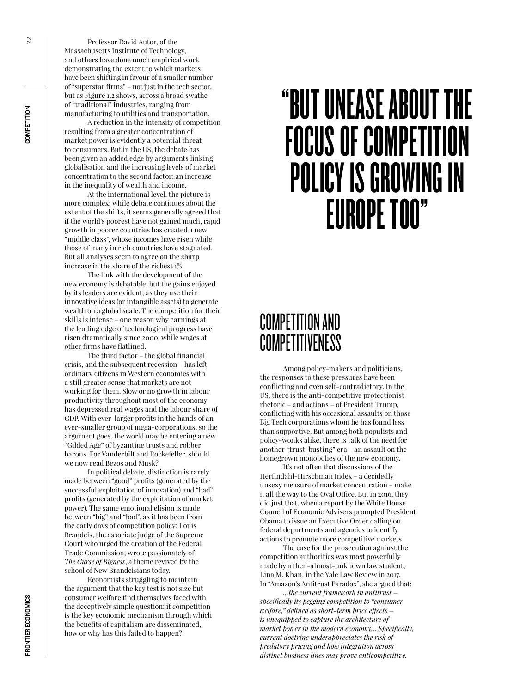Professor David Autor, of the Massachusetts Institute of Technology, and others have done much empirical work demonstrating the extent to which markets have been shifting in favour of a smaller number of "superstar firms" – not just in the tech sector, but as Figure 1.2 shows, across a broad swathe of "traditional" industries, ranging from manufacturing to utilities and transportation.

A reduction in the intensity of competition resulting from a greater concentration of market power is evidently a potential threat to consumers. But in the US, the debate has been given an added edge by arguments linking globalisation and the increasing levels of market concentration to the second factor: an increase in the inequality of wealth and income.

At the international level, the picture is more complex: while debate continues about the extent of the shifts, it seems generally agreed that if the world's poorest have not gained much, rapid growth in poorer countries has created a new "middle class", whose incomes have risen while those of many in rich countries have stagnated. But all analyses seem to agree on the sharp increase in the share of the richest 1%.

The link with the development of the new economy is debatable, but the gains enjoyed by its leaders are evident, as they use their innovative ideas (or intangible assets) to generate wealth on a global scale. The competition for their skills is intense – one reason why earnings at the leading edge of technological progress have risen dramatically since 2000, while wages at other firms have flatlined.

The third factor – the global financial crisis, and the subsequent recession – has left ordinary citizens in Western economies with a still greater sense that markets are not working for them. Slow or no growth in labour productivity throughout most of the economy has depressed real wages and the labour share of GDP. With ever-larger profits in the hands of an ever-smaller group of mega-corporations, so the argument goes, the world may be entering a new "Gilded Age" of byzantine trusts and robber barons. For Vanderbilt and Rockefeller, should we now read Bezos and Musk?

In political debate, distinction is rarely made between "good" profits (generated by the successful exploitation of innovation) and "bad" profits (generated by the exploitation of market power). The same emotional elision is made between "big" and "bad", as it has been from the early days of competition policy: Louis Brandeis, the associate judge of the Supreme Court who urged the creation of the Federal Trade Commission, wrote passionately of *The Curse of Bigness*, a theme revived by the school of New Brandeisians today.

Economists struggling to maintain the argument that the key test is not size but consumer welfare find themselves faced with the deceptively simple question: if competition is the key economic mechanism through which the benefits of capitalism are disseminated, how or why has this failed to happen?

# "BUT UNEASE ABOUT THE FOCUS OF COMPETITION POLICY IS GROWING IN EUROPE TOO"

#### COMPETITION AND **COMPETITIVENESS**

Among policy-makers and politicians, the responses to these pressures have been conflicting and even self-contradictory. In the US, there is the anti-competitive protectionist rhetoric – and actions – of President Trump, conflicting with his occasional assaults on those Big Tech corporations whom he has found less than supportive. But among both populists and policy-wonks alike, there is talk of the need for another "trust-busting" era – an assault on the homegrown monopolies of the new economy.

It's not often that discussions of the Herfindahl-Hirschman Index – a decidedly unsexy measure of market concentration – make it all the way to the Oval Office. But in 2016, they did just that, when a report by the White House Council of Economic Advisers prompted President Obama to issue an Executive Order calling on federal departments and agencies to identify actions to promote more competitive markets.

The case for the prosecution against the competition authorities was most powerfully made by a then-almost-unknown law student, Lina M. Khan, in the Yale Law Review in 2017. In "Amazon's Antitrust Paradox", she argued that:

*…the current framework in antitrust – specifically its pegging competition to "consumer welfare," defined as short-term price effects – is unequipped to capture the architecture of market power in the modern economy… Specifically, current doctrine underappreciates the risk of predatory pricing and how integration across distinct business lines may prove anticompetitive.*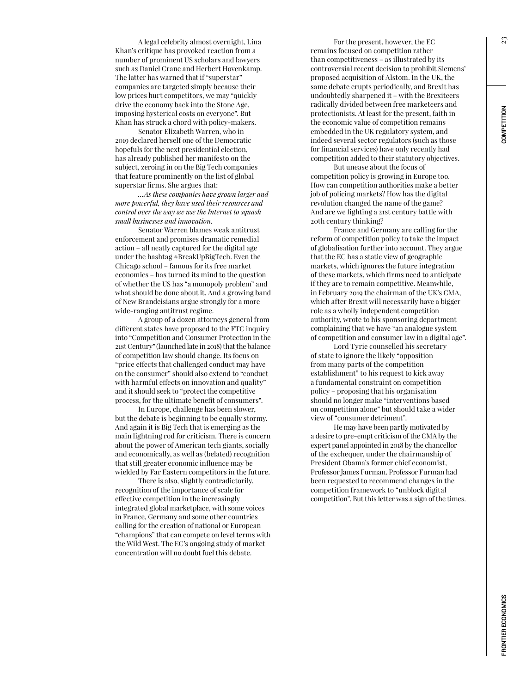23

A legal celebrity almost overnight, Lina Khan's critique has provoked reaction from a number of prominent US scholars and lawyers such as Daniel Crane and Herbert Hovenkamp. The latter has warned that if "superstar" companies are targeted simply because their low prices hurt competitors, we may "quickly drive the economy back into the Stone Age, imposing hysterical costs on everyone". But Khan has struck a chord with policy-makers.

Senator Elizabeth Warren, who in 2019 declared herself one of the Democratic hopefuls for the next presidential election, has already published her manifesto on the subject, zeroing in on the Big Tech companies that feature prominently on the list of global superstar firms. She argues that:

*…As these companies have grown larger and more powerful, they have used their resources and control over the way we use the Internet to squash small businesses and innovation.*

Senator Warren blames weak antitrust enforcement and promises dramatic remedial action – all neatly captured for the digital age under the hashtag #BreakUpBigTech. Even the Chicago school – famous for its free market economics – has turned its mind to the question of whether the US has "a monopoly problem" and what should be done about it. And a growing band of New Brandeisians argue strongly for a more wide-ranging antitrust regime.

A group of a dozen attorneys general from different states have proposed to the FTC inquiry into "Competition and Consumer Protection in the 21st Century" (launched late in 2018) that the balance of competition law should change. Its focus on "price effects that challenged conduct may have on the consumer" should also extend to "conduct with harmful effects on innovation and quality" and it should seek to "protect the competitive process, for the ultimate benefit of consumers".

In Europe, challenge has been slower, but the debate is beginning to be equally stormy. And again it is Big Tech that is emerging as the main lightning rod for criticism. There is concern about the power of American tech giants, socially and economically, as well as (belated) recognition that still greater economic influence may be wielded by Far Eastern competitors in the future.

There is also, slightly contradictorily, recognition of the importance of scale for effective competition in the increasingly integrated global marketplace, with some voices in France, Germany and some other countries calling for the creation of national or European "champions" that can compete on level terms with the Wild West. The EC's ongoing study of market concentration will no doubt fuel this debate.

For the present, however, the EC remains focused on competition rather than competitiveness – as illustrated by its controversial recent decision to prohibit Siemens' proposed acquisition of Alstom. In the UK, the same debate erupts periodically, and Brexit has undoubtedly sharpened it – with the Brexiteers radically divided between free marketeers and protectionists. At least for the present, faith in the economic value of competition remains embedded in the UK regulatory system, and indeed several sector regulators (such as those for financial services) have only recently had competition added to their statutory objectives.

But unease about the focus of competition policy is growing in Europe too. How can competition authorities make a better job of policing markets? How has the digital revolution changed the name of the game? And are we fighting a 21st century battle with 20th century thinking?

France and Germany are calling for the reform of competition policy to take the impact of globalisation further into account. They argue that the EC has a static view of geographic markets, which ignores the future integration of these markets, which firms need to anticipate if they are to remain competitive. Meanwhile, in February 2019 the chairman of the UK's CMA, which after Brexit will necessarily have a bigger role as a wholly independent competition authority, wrote to his sponsoring department complaining that we have "an analogue system of competition and consumer law in a digital age".

Lord Tyrie counselled his secretary of state to ignore the likely "opposition from many parts of the competition establishment" to his request to kick away a fundamental constraint on competition policy – proposing that his organisation should no longer make "interventions based on competition alone" but should take a wider view of "consumer detriment".

He may have been partly motivated by a desire to pre-empt criticism of the CMA by the expert panel appointed in 2018 by the chancellor of the exchequer, under the chairmanship of President Obama's former chief economist, Professor James Furman. Professor Furman had been requested to recommend changes in the competition framework to "unblock digital competition". But this letter was a sign of the times.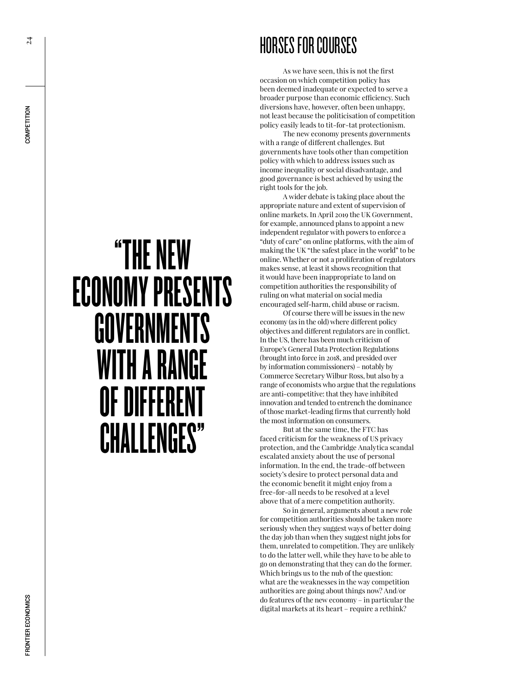# HORSES FOR COURSES

As we have seen, this is not the first occasion on which competition policy has been deemed inadequate or expected to serve a broader purpose than economic efficiency. Such diversions have, however, often been unhappy, not least because the politicisation of competition policy easily leads to tit-for-tat protectionism.

The new economy presents governments with a range of different challenges. But governments have tools other than competition policy with which to address issues such as income inequality or social disadvantage, and good governance is best achieved by using the right tools for the job.

A wider debate is taking place about the appropriate nature and extent of supervision of online markets. In April 2019 the UK Government, for example, announced plans to appoint a new independent regulator with powers to enforce a "duty of care" on online platforms, with the aim of making the UK "the safest place in the world" to be online. Whether or not a proliferation of regulators makes sense, at least it shows recognition that it would have been inappropriate to land on competition authorities the responsibility of ruling on what material on social media encouraged self-harm, child abuse or racism.

Of course there will be issues in the new economy (as in the old) where different policy objectives and different regulators are in conflict. In the US, there has been much criticism of Europe's General Data Protection Regulations (brought into force in 2018, and presided over by information commissioners) – notably by Commerce Secretary Wilbur Ross, but also by a range of economists who argue that the regulations are anti-competitive: that they have inhibited innovation and tended to entrench the dominance of those market-leading firms that currently hold the most information on consumers.

But at the same time, the FTC has faced criticism for the weakness of US privacy protection, and the Cambridge Analytica scandal escalated anxiety about the use of personal information. In the end, the trade-off between society's desire to protect personal data and the economic benefit it might enjoy from a free-for-all needs to be resolved at a level above that of a mere competition authority.

So in general, arguments about a new role for competition authorities should be taken more seriously when they suggest ways of better doing the day job than when they suggest night jobs for them, unrelated to competition. They are unlikely to do the latter well, while they have to be able to go on demonstrating that they can do the former. Which brings us to the nub of the question: what are the weaknesses in the way competition authorities are going about things now? And/or do features of the new economy – in particular the digital markets at its heart – require a rethink?

# "THE NEW ECONOMY PRESENTS GOVERNMENTS WITH A RANGE OF DIFFERENT CHALLENGES"

 $\overline{24}$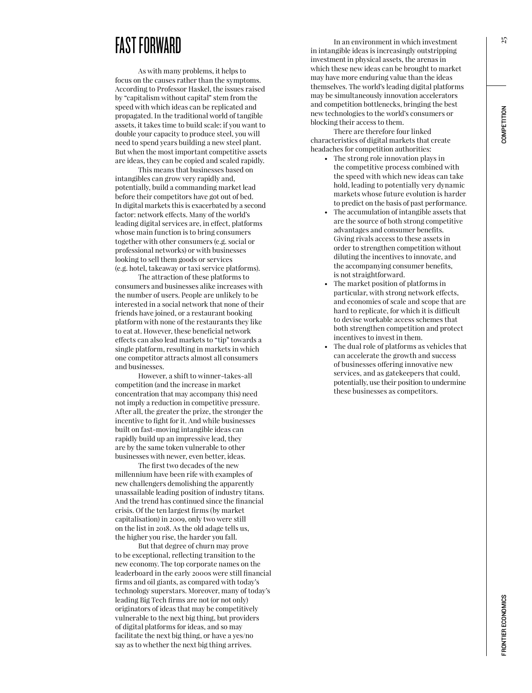#### FAST FORWARD

As with many problems, it helps to focus on the causes rather than the symptoms. According to Professor Haskel, the issues raised by "capitalism without capital" stem from the speed with which ideas can be replicated and propagated. In the traditional world of tangible assets, it takes time to build scale: if you want to double your capacity to produce steel, you will need to spend years building a new steel plant. But when the most important competitive assets are ideas, they can be copied and scaled rapidly.

This means that businesses based on intangibles can grow very rapidly and, potentially, build a commanding market lead before their competitors have got out of bed. In digital markets this is exacerbated by a second factor: network effects. Many of the world's leading digital services are, in effect, platforms whose main function is to bring consumers together with other consumers (e.g. social or professional networks) or with businesses looking to sell them goods or services (e.g. hotel, takeaway or taxi service platforms).

The attraction of these platforms to consumers and businesses alike increases with the number of users. People are unlikely to be interested in a social network that none of their friends have joined, or a restaurant booking platform with none of the restaurants they like to eat at. However, these beneficial network effects can also lead markets to "tip" towards a single platform, resulting in markets in which one competitor attracts almost all consumers and businesses.

However, a shift to winner-takes-all competition (and the increase in market concentration that may accompany this) need not imply a reduction in competitive pressure. After all, the greater the prize, the stronger the incentive to fight for it. And while businesses built on fast-moving intangible ideas can rapidly build up an impressive lead, they are by the same token vulnerable to other businesses with newer, even better, ideas.

The first two decades of the new millennium have been rife with examples of new challengers demolishing the apparently unassailable leading position of industry titans. And the trend has continued since the financial crisis. Of the ten largest firms (by market capitalisation) in 2009, only two were still on the list in 2018. As the old adage tells us, the higher you rise, the harder you fall.

But that degree of churn may prove to be exceptional, reflecting transition to the new economy. The top corporate names on the leaderboard in the early 2000s were still financial firms and oil giants, as compared with today's technology superstars. Moreover, many of today's leading Big Tech firms are not (or not only) originators of ideas that may be competitively vulnerable to the next big thing, but providers of digital platforms for ideas, and so may facilitate the next big thing, or have a yes/no say as to whether the next big thing arrives.

In an environment in which investment in intangible ideas is increasingly outstripping investment in physical assets, the arenas in which these new ideas can be brought to market may have more enduring value than the ideas themselves. The world's leading digital platforms may be simultaneously innovation accelerators and competition bottlenecks, bringing the best new technologies to the world's consumers or blocking their access to them.

There are therefore four linked characteristics of digital markets that create headaches for competition authorities:

- The strong role innovation plays in the competitive process combined with the speed with which new ideas can take hold, leading to potentially very dynamic markets whose future evolution is harder to predict on the basis of past performance.
- The accumulation of intangible assets that are the source of both strong competitive advantages and consumer benefits. Giving rivals access to these assets in order to strengthen competition without diluting the incentives to innovate, and the accompanying consumer benefits, is not straightforward.
- The market position of platforms in particular, with strong network effects, and economies of scale and scope that are hard to replicate, for which it is difficult to devise workable access schemes that both strengthen competition and protect incentives to invest in them.
- The dual role of platforms as vehicles that can accelerate the growth and success of businesses offering innovative new services, and as gatekeepers that could, potentially, use their position to undermine these businesses as competitors.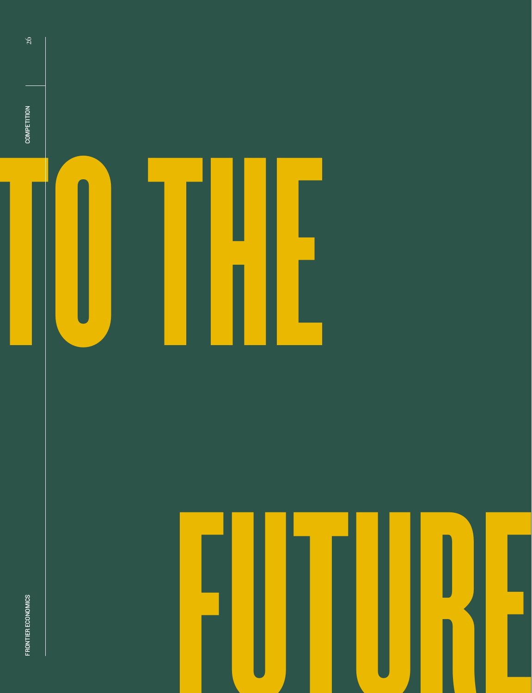

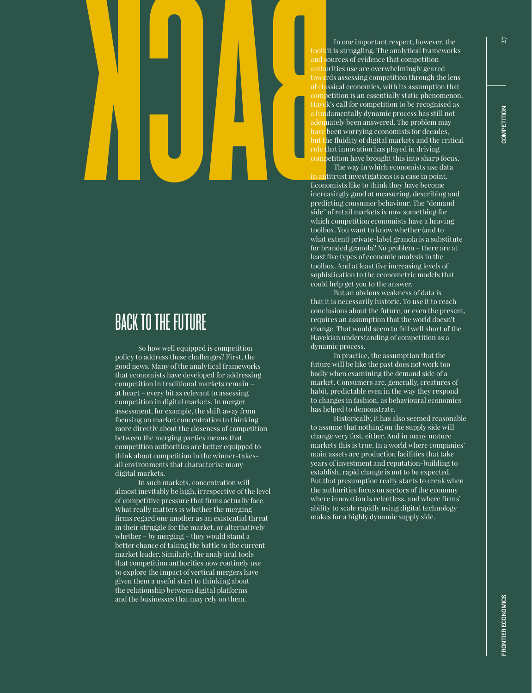# BACK

#### BACK TO THE FUTURE

So how well equipped is competition policy to address these challenges? First, the good news. Many of the analytical frameworks that economists have developed for addressing competition in traditional markets remain – at heart – every bit as relevant to assessing competition in digital markets. In merger assessment, for example, the shift away from focusing on market concentration to thinking more directly about the closeness of competition between the merging parties means that competition authorities are better equipped to think about competition in the winner-takesall environments that characterise many digital markets.

In such markets, concentration will almost inevitably be high, irrespective of the level of competitive pressure that firms actually face. What really matters is whether the merging firms regard one another as an existential threat in their struggle for the market, or alternatively whether – by merging – they would stand a better chance of taking the battle to the current market leader. Similarly, the analytical tools that competition authorities now routinely use to explore the impact of vertical mergers have given them a useful start to thinking about the relationship between digital platforms and the businesses that may rely on them.

In one important respect, however, the toolkit is struggling. The analytical frameworks and sources of evidence that competition authorities use are overwhelmingly geared towards assessing competition through the lens of classical economics, with its assumption that competition is an essentially static phenomenon. Hayek's call for competition to be recognised as a fundamentally dynamic process has still not adequately been answered. The problem may have been worrying economists for decades, but the fluidity of digital markets and the critical role that innovation has played in driving competition have brought this into sharp focus.

The way in which economists use data in antitrust investigations is a case in point. Economists like to think they have become increasingly good at measuring, describing and predicting consumer behaviour. The "demand side" of retail markets is now something for which competition economists have a heaving toolbox. You want to know whether (and to what extent) private-label granola is a substitute for branded granola? No problem – there are at least five types of economic analysis in the toolbox. And at least five increasing levels of sophistication to the econometric models that could help get you to the answer.

But an obvious weakness of data is that it is necessarily historic. To use it to reach conclusions about the future, or even the present, requires an assumption that the world doesn't change. That would seem to fall well short of the Hayekian understanding of competition as a dynamic process.

In practice, the assumption that the future will be like the past does not work too badly when examining the demand side of a market. Consumers are, generally, creatures of habit, predictable even in the way they respond to changes in fashion, as behavioural economics has helped to demonstrate.

Historically, it has also seemed reasonable to assume that nothing on the supply side will change very fast, either. And in many mature markets this is true. In a world where companies' main assets are production facilities that take years of investment and reputation-building to establish, rapid change is not to be expected. But that presumption really starts to creak when the authorities focus on sectors of the economy where innovation is relentless, and where firms' ability to scale rapidly using digital technology makes for a highly dynamic supply side.

COMPETITION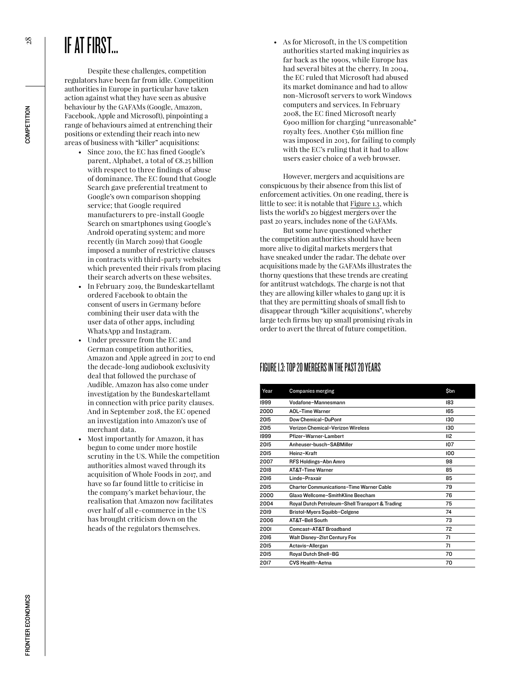# IF AT FIRST...

Despite these challenges, competition regulators have been far from idle. Competition authorities in Europe in particular have taken action against what they have seen as abusive behaviour by the GAFAMs (Google, Amazon, Facebook, Apple and Microsoft), pinpointing a range of behaviours aimed at entrenching their positions or extending their reach into new areas of business with "killer" acquisitions:

- Since 2010, the EC has fined Google's parent, Alphabet, a total of €8.25 billion with respect to three findings of abuse of dominance. The EC found that Google Search gave preferential treatment to Google's own comparison shopping service; that Google required manufacturers to pre-install Google Search on smartphones using Google's Android operating system; and more recently (in March 2019) that Google imposed a number of restrictive clauses in contracts with third-party websites which prevented their rivals from placing their search adverts on these websites.
- In February 2019, the Bundeskartellamt ordered Facebook to obtain the consent of users in Germany before combining their user data with the user data of other apps, including WhatsApp and Instagram.
- Under pressure from the EC and German competition authorities, Amazon and Apple agreed in 2017 to end the decade-long audiobook exclusivity deal that followed the purchase of Audible. Amazon has also come under investigation by the Bundeskartellamt in connection with price parity clauses. And in September 2018, the EC opened an investigation into Amazon's use of merchant data.
- Most importantly for Amazon, it has begun to come under more hostile scrutiny in the US. While the competition authorities almost waved through its acquisition of Whole Foods in 2017, and have so far found little to criticise in the company's market behaviour, the realisation that Amazon now facilitates over half of all e-commerce in the US has brought criticism down on the heads of the regulators themselves.

• As for Microsoft, in the US competition authorities started making inquiries as far back as the 1990s, while Europe has had several bites at the cherry. In 2004, the EC ruled that Microsoft had abused its market dominance and had to allow non-Microsoft servers to work Windows computers and services. In February 2008, the EC fined Microsoft nearly €900 million for charging "unreasonable" royalty fees. Another €561 million fine was imposed in 2013, for failing to comply with the EC's ruling that it had to allow users easier choice of a web browser.

However, mergers and acquisitions are conspicuous by their absence from this list of enforcement activities. On one reading, there is little to see: it is notable that Figure 1.3, which lists the world's 20 biggest mergers over the past 20 years, includes none of the GAFAMs.

But some have questioned whether the competition authorities should have been more alive to digital markets mergers that have sneaked under the radar. The debate over acquisitions made by the GAFAMs illustrates the thorny questions that these trends are creating for antitrust watchdogs. The charge is not that they are allowing killer whales to gang up: it is that they are permitting shoals of small fish to disappear through "killer acquisitions", whereby large tech firms buy up small promising rivals in order to avert the threat of future competition.

#### FIGURE 1.3: TOP 20 MERGERS IN THE PAST 20 YEARS

| Year | <b>Companies merging</b>                        | \$bn |
|------|-------------------------------------------------|------|
| 1999 | Vodafone-Mannesmann                             | 183  |
| 2000 | AOL-Time Warner                                 | 165  |
| 2015 | Dow Chemical-DuPont                             | 130  |
| 2015 | Verizon Chemical-Verizon Wireless               | 130  |
| 1999 | Pfizer-Warner-Lambert                           | II2  |
| 2015 | Anheuser-husch-SARMiller                        | 107  |
| 2015 | Heinz-Kraft                                     | 100  |
| 2007 | RFS Holdings-Abn Amro                           | 98   |
| 2018 | <b>AT&amp;T-Time Warner</b>                     | 85   |
| 2016 | Linde-Praxair                                   | 85   |
| 2015 | <b>Charter Communications-Time Warner Cable</b> | 79   |
| 2000 | Glaxo Wellcome-SmithKline Beecham               | 76   |
| 2004 | Royal Dutch Petroleum-Shell Transport & Trading | 75   |
| 2019 | Bristol-Myers Squibb-Celgene                    | 74   |
| 2006 | AT&T-Bell South                                 | 73   |
| 2001 | Comcast-AT&T Broadband                          | 72   |
| 2016 | Walt Disney-21st Century Fox                    | 71   |
| 2015 | Actavis-Allergan                                | 71   |
| 2015 | Royal Dutch Shell-BG                            | 70   |
| 2017 | CVS Health-Aetna                                | 70   |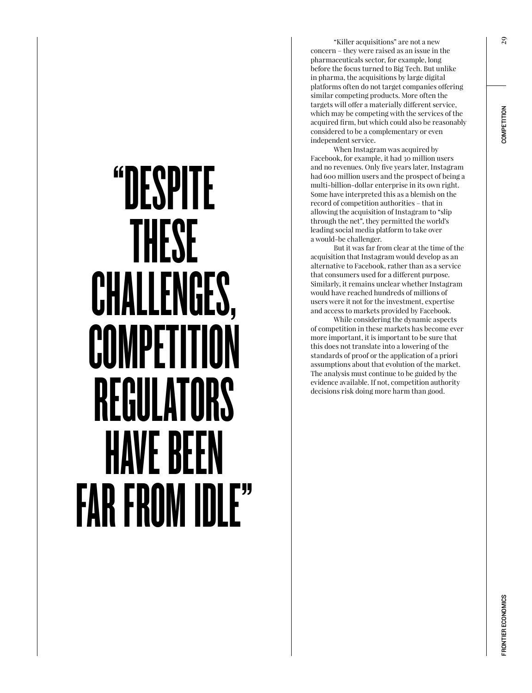# "DESPITE THESE CHALLENGES, COMPETITI REGULATORS HAVE BEEN FAR FROM IDLE"

"Killer acquisitions" are not a new concern – they were raised as an issue in the pharmaceuticals sector, for example, long before the focus turned to Big Tech. But unlike in pharma, the acquisitions by large digital platforms often do not target companies offering similar competing products. More often the targets will offer a materially different service, which may be competing with the services of the acquired firm, but which could also be reasonably considered to be a complementary or even independent service.

When Instagram was acquired by Facebook, for example, it had 30 million users and no revenues. Only five years later, Instagram had 600 million users and the prospect of being a multi-billion-dollar enterprise in its own right. Some have interpreted this as a blemish on the record of competition authorities – that in allowing the acquisition of Instagram to "slip through the net", they permitted the world's leading social media platform to take over a would-be challenger.

But it was far from clear at the time of the acquisition that Instagram would develop as an alternative to Facebook, rather than as a service that consumers used for a different purpose. Similarly, it remains unclear whether Instagram would have reached hundreds of millions of users were it not for the investment, expertise and access to markets provided by Facebook.

While considering the dynamic aspects of competition in these markets has become ever more important, it is important to be sure that this does not translate into a lowering of the standards of proof or the application of a priori assumptions about that evolution of the market. The analysis must continue to be guided by the evidence available. If not, competition authority decisions risk doing more harm than good.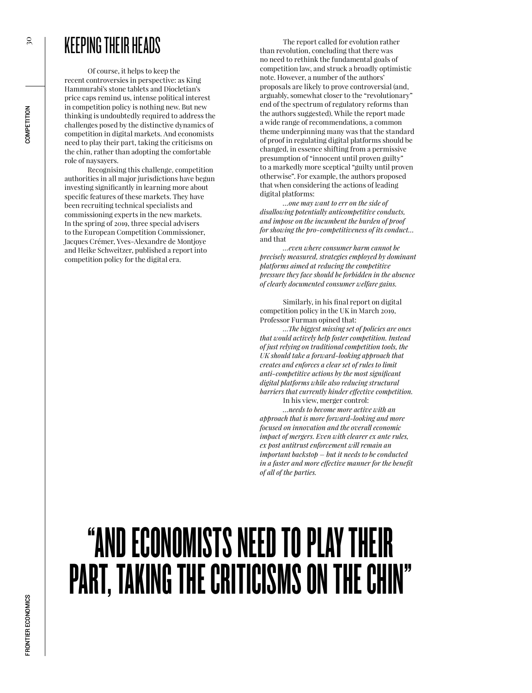## KEEPING THEIR HEADS

Of course, it helps to keep the recent controversies in perspective: as King Hammurabi's stone tablets and Diocletian's price caps remind us, intense political interest in competition policy is nothing new. But new thinking is undoubtedly required to address the challenges posed by the distinctive dynamics of competition in digital markets. And economists need to play their part, taking the criticisms on the chin, rather than adopting the comfortable role of naysayers.

Recognising this challenge, competition authorities in all major jurisdictions have begun investing significantly in learning more about specific features of these markets. They have been recruiting technical specialists and commissioning experts in the new markets. In the spring of 2019, three special advisers to the European Competition Commissioner, Jacques Crémer, Yves-Alexandre de Montjoye and Heike Schweitzer, published a report into competition policy for the digital era.

The report called for evolution rather than revolution, concluding that there was no need to rethink the fundamental goals of competition law, and struck a broadly optimistic note. However, a number of the authors' proposals are likely to prove controversial (and, arguably, somewhat closer to the "revolutionary" end of the spectrum of regulatory reforms than the authors suggested). While the report made a wide range of recommendations, a common theme underpinning many was that the standard of proof in regulating digital platforms should be changed, in essence shifting from a permissive presumption of "innocent until proven guilty" to a markedly more sceptical "guilty until proven otherwise". For example, the authors proposed that when considering the actions of leading digital platforms:

*…one may want to err on the side of disallowing potentially anticompetitive conducts, and impose on the incumbent the burden of proof for showing the pro-competitiveness of its conduct…* and that

*…even where consumer harm cannot be precisely measured, strategies employed by dominant platforms aimed at reducing the competitive pressure they face should be forbidden in the absence of clearly documented consumer welfare gains.*

Similarly, in his final report on digital competition policy in the UK in March 2019, Professor Furman opined that:

*…The biggest missing set of policies are ones that would actively help foster competition. Instead of just relying on traditional competition tools, the UK should take a forward-looking approach that creates and enforces a clear set of rules to limit anti-competitive actions by the most significant digital platforms while also reducing structural barriers that currently hinder effective competition.*

In his view, merger control:

*…needs to become more active with an approach that is more forward-looking and more focused on innovation and the overall economic impact of mergers. Even with clearer ex ante rules, ex post antitrust enforcement will remain an important backstop – but it needs to be conducted in a faster and more effective manner for the benefit of all of the parties.*

# "AND ECONOMISTS NEED TO PLAY THEIR PART, TAKING THE CRITICISMS ON THE CHIN"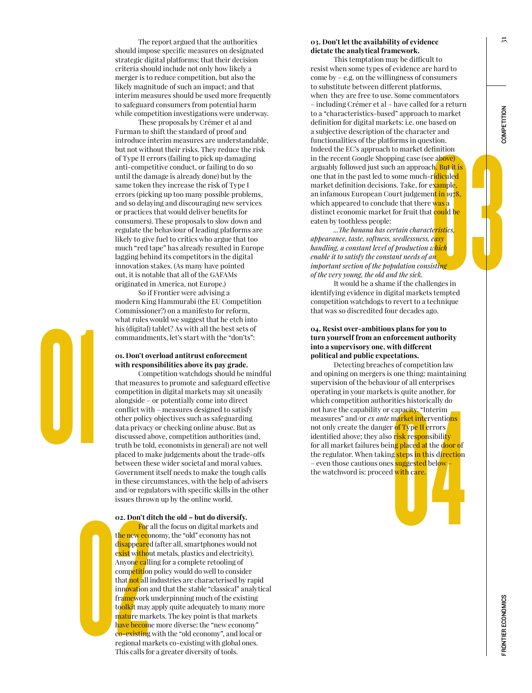The report argued that the authorities should impose specific measures on designated strategic digital platforms; that their decision criteria should include not only how likely a merger is to reduce competition, but also the likely magnitude of such an impact; and that interim measures should be used more frequently to safeguard consumers from potential harm while competition investigations were underway.

These proposals by Crémer et al and Furman to shift the standard of proof and introduce interim measures are understandable, but not without their risks. They reduce the risk of Type II errors (failing to pick up damaging anti-competitive conduct, or failing to do so until the damage is already done) but by the same token they increase the risk of Type I errors (picking up too many possible problems, and so delaying and discouraging new services or practices that would deliver benefits for consumers). These proposals to slow down and regulate the behaviour of leading platforms are likely to give fuel to critics who argue that too much "red tape" has already resulted in Europe lagging behind its competitors in the digital innovation stakes. (As many have pointed out, it is notable that all of the GAFAMs originated in America, not Europe.)

So if Frontier were advising a modern King Hammurabi (the EU Competition Commissioner?) on a manifesto for reform, what rules would we suggest that he etch into his (digital) tablet? As with all the best sets of commandments, let's start with the "don'ts":

#### **01. Don't overload antitrust enforcement with responsibilities above its pay grade.**

01

Competition watchdogs should be mindful that measures to promote and safeguard effective competition in digital markets may sit uneasily alongside – or potentially come into direct conflict with – measures designed to satisfy other policy objectives such as safeguarding data privacy or checking online abuse. But as discussed above, competition authorities (and, truth be told, economists in general) are not well placed to make judgements about the trade-offs between these wider societal and moral values. Government itself needs to make the tough calls in these circumstances, with the help of advisers and/or regulators with specific skills in the other issues thrown up by the online world.

#### **02. Don't ditch the old – but do diversify.**

issues thro<br> **02. Don't defined the properties of the new eco**<br>
disappeare<br>
exist with<br>
Anyone call<br>
competition<br>
that not all<br>
importion<br>
framework<br>
toolkit may<br>
mature may<br>
have becom<br>
co-existing<br>
regional may<br>
This cal For all the focus on digital markets and the new economy, the "old" economy has not disappeared (after all, smartphones would not exist without metals, plastics and electricity). Anyone calling for a complete retooling of competition policy would do well to consider that not all industries are characterised by rapid innovation and that the stable "classical" analytical framework underpinning much of the existing toolkit may apply quite adequately to many more mature markets. The key point is that markets have become more diverse: the "new economy" co-existing with the "old economy", and local or regional markets co-existing with global ones. This calls for a greater diversity of tools.

#### **03. Don't let the availability of evidence dictate the analytical framework.**

er and<br>stion.<br>finition<br>e above)<br>h, But it is<br>ridiculed<br>example,<br>nt in 1978,<br>was a<br>t could be<br>teristics.<br>easy<br>which<br>in<br>sting<br>enges in<br>termed. This temptation may be difficult to resist when some types of evidence are hard to come by – e.g. on the willingness of consumers to substitute between different platforms, when they are free to use. Some commentators – including Crémer et al – have called for a return to a "characteristics-based" approach to market definition for digital markets: i.e. one based on a subjective description of the character and functionalities of the platforms in question. Indeed the EC's approach to market definition in the recent Google Shopping case (see above) arguably followed just such an approach. But it is one that in the past led to some much-ridiculed market definition decisions. Take, for example, an infamous European Court judgement in 1978, which appeared to conclude that there was a distinct economic market for fruit that could be eaten by toothless people:

*...The banana has certain characteristics, appearance, taste, softness, seedlessness, easy handling, a constant level of production which enable it to satisfy the constant needs of an important section of the population consisting of the very young, the old and the sick.*

It would be a shame if the challenges in identifying evidence in digital markets tempted competition watchdogs to revert to a technique that was so discredited four decades ago.

#### **04. Resist over-ambitious plans for you to turn yourself from an enforcement authority into a supervisory one, with different political and public expectations.**

is is quite another, for<br>
ities historically do<br>
capacity, "Interim<br>
market interventions<br>
of Type II errors<br>
risk responsibility<br>
ng placed at the door of<br>
g steps in this direction<br>
suggested below<br>
i with care. Detecting breaches of competition law and opining on mergers is one thing: maintaining supervision of the behaviour of all enterprises operating in your markets is quite another, for which competition authorities historically do not have the capability or capacity. "Interim measures" and/or *ex ante* market interventions not only create the danger of Type II errors identified above; they also risk responsibility for all market failures being placed at the door of the regulator. When taking steps in this direction – even those cautious ones suggested below the watchword is: proceed with care.

FRONTIER ECONOMOMORGEN FRONTIER EN DIE GESCHIER EIN DIE GESCHIER EIN DIE GESCHIERUNG EIN DIE GESCHIERUNG EIN D<br>FRONTIER ECONOMOMORGEN **RONTIER ECONOMICS** 

 $\overline{1}$